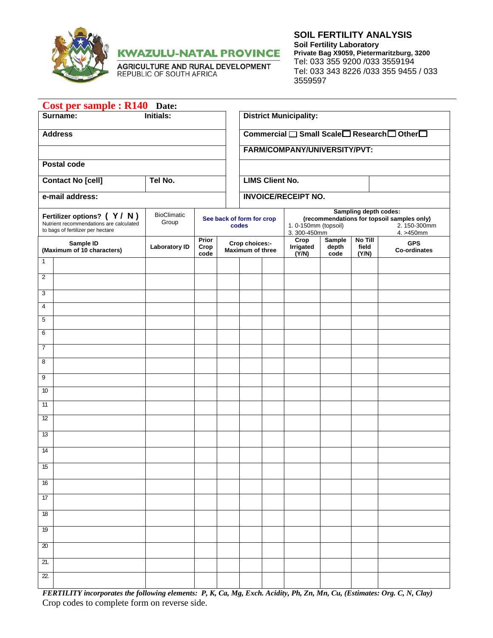

**KWAZULU-NATAL PROVINCE** 

AGRICULTURE AND RURAL DEVELOPMENT<br>REPUBLIC OF SOUTH AFRICA

**SOIL FERTILITY ANALYSIS Soil Fertility Laboratory Private Bag X9059, Pietermaritzburg, 3200**  Tel: 033 355 9200 /033 3559194 Tel: 033 343 8226 /033 355 9455 / 033 3559597

| Surname:<br><b>District Municipality:</b><br>Initials:<br>Commercial □ Small Scale□ Research□ Other□<br><b>Address</b><br>FARM/COMPANY/UNIVERSITY/PVT:<br>Postal code<br><b>LIMS Client No.</b><br><b>Contact No [cell]</b><br>Tel No.<br>e-mail address:<br><b>INVOICE/RECEIPT NO.</b><br>Sampling depth codes:<br>BioClimatic<br>Fertilizer options? (Y/N)<br>(recommendations for topsoil samples only)<br>See back of form for crop<br>Group<br>Nutrient recommendations are calculated<br>1. 0-150mm (topsoil)<br>codes<br>to bags of fertilizer per hectare<br>3.300-450mm<br>Prior<br><b>Sample</b><br>No Till<br>Crop<br><b>GPS</b><br>Sample ID<br>Crop choices:-<br>Irrigated<br><b>Laboratory ID</b><br>Crop<br>depth<br>field<br>(Maximum of 10 characters)<br>Maximum of three<br><b>Co-ordinates</b><br>(Y/N)<br>code<br>code<br>(Y/N)<br>1<br>$\overline{2}$<br>3<br>$\overline{4}$<br>5<br>6<br>7<br>8<br>9<br>10<br>11<br>12<br>13<br>14<br>15<br>16 |                          |  |
|-----------------------------------------------------------------------------------------------------------------------------------------------------------------------------------------------------------------------------------------------------------------------------------------------------------------------------------------------------------------------------------------------------------------------------------------------------------------------------------------------------------------------------------------------------------------------------------------------------------------------------------------------------------------------------------------------------------------------------------------------------------------------------------------------------------------------------------------------------------------------------------------------------------------------------------------------------------------------|--------------------------|--|
|                                                                                                                                                                                                                                                                                                                                                                                                                                                                                                                                                                                                                                                                                                                                                                                                                                                                                                                                                                       |                          |  |
|                                                                                                                                                                                                                                                                                                                                                                                                                                                                                                                                                                                                                                                                                                                                                                                                                                                                                                                                                                       |                          |  |
|                                                                                                                                                                                                                                                                                                                                                                                                                                                                                                                                                                                                                                                                                                                                                                                                                                                                                                                                                                       |                          |  |
|                                                                                                                                                                                                                                                                                                                                                                                                                                                                                                                                                                                                                                                                                                                                                                                                                                                                                                                                                                       |                          |  |
|                                                                                                                                                                                                                                                                                                                                                                                                                                                                                                                                                                                                                                                                                                                                                                                                                                                                                                                                                                       |                          |  |
|                                                                                                                                                                                                                                                                                                                                                                                                                                                                                                                                                                                                                                                                                                                                                                                                                                                                                                                                                                       |                          |  |
|                                                                                                                                                                                                                                                                                                                                                                                                                                                                                                                                                                                                                                                                                                                                                                                                                                                                                                                                                                       | 2.150-300mm<br>4. >450mm |  |
|                                                                                                                                                                                                                                                                                                                                                                                                                                                                                                                                                                                                                                                                                                                                                                                                                                                                                                                                                                       |                          |  |
|                                                                                                                                                                                                                                                                                                                                                                                                                                                                                                                                                                                                                                                                                                                                                                                                                                                                                                                                                                       |                          |  |
|                                                                                                                                                                                                                                                                                                                                                                                                                                                                                                                                                                                                                                                                                                                                                                                                                                                                                                                                                                       |                          |  |
|                                                                                                                                                                                                                                                                                                                                                                                                                                                                                                                                                                                                                                                                                                                                                                                                                                                                                                                                                                       |                          |  |
|                                                                                                                                                                                                                                                                                                                                                                                                                                                                                                                                                                                                                                                                                                                                                                                                                                                                                                                                                                       |                          |  |
|                                                                                                                                                                                                                                                                                                                                                                                                                                                                                                                                                                                                                                                                                                                                                                                                                                                                                                                                                                       |                          |  |
|                                                                                                                                                                                                                                                                                                                                                                                                                                                                                                                                                                                                                                                                                                                                                                                                                                                                                                                                                                       |                          |  |
|                                                                                                                                                                                                                                                                                                                                                                                                                                                                                                                                                                                                                                                                                                                                                                                                                                                                                                                                                                       |                          |  |
|                                                                                                                                                                                                                                                                                                                                                                                                                                                                                                                                                                                                                                                                                                                                                                                                                                                                                                                                                                       |                          |  |
|                                                                                                                                                                                                                                                                                                                                                                                                                                                                                                                                                                                                                                                                                                                                                                                                                                                                                                                                                                       |                          |  |
|                                                                                                                                                                                                                                                                                                                                                                                                                                                                                                                                                                                                                                                                                                                                                                                                                                                                                                                                                                       |                          |  |
|                                                                                                                                                                                                                                                                                                                                                                                                                                                                                                                                                                                                                                                                                                                                                                                                                                                                                                                                                                       |                          |  |
|                                                                                                                                                                                                                                                                                                                                                                                                                                                                                                                                                                                                                                                                                                                                                                                                                                                                                                                                                                       |                          |  |
|                                                                                                                                                                                                                                                                                                                                                                                                                                                                                                                                                                                                                                                                                                                                                                                                                                                                                                                                                                       |                          |  |
|                                                                                                                                                                                                                                                                                                                                                                                                                                                                                                                                                                                                                                                                                                                                                                                                                                                                                                                                                                       |                          |  |
|                                                                                                                                                                                                                                                                                                                                                                                                                                                                                                                                                                                                                                                                                                                                                                                                                                                                                                                                                                       |                          |  |
| 17                                                                                                                                                                                                                                                                                                                                                                                                                                                                                                                                                                                                                                                                                                                                                                                                                                                                                                                                                                    |                          |  |
| $\overline{18}$                                                                                                                                                                                                                                                                                                                                                                                                                                                                                                                                                                                                                                                                                                                                                                                                                                                                                                                                                       |                          |  |
| 19                                                                                                                                                                                                                                                                                                                                                                                                                                                                                                                                                                                                                                                                                                                                                                                                                                                                                                                                                                    |                          |  |
| 20                                                                                                                                                                                                                                                                                                                                                                                                                                                                                                                                                                                                                                                                                                                                                                                                                                                                                                                                                                    |                          |  |
| 21.                                                                                                                                                                                                                                                                                                                                                                                                                                                                                                                                                                                                                                                                                                                                                                                                                                                                                                                                                                   |                          |  |
| 22.                                                                                                                                                                                                                                                                                                                                                                                                                                                                                                                                                                                                                                                                                                                                                                                                                                                                                                                                                                   |                          |  |

*FERTILITY incorporates the following elements: P, K, Ca, Mg, Exch. Acidity, Ph, Zn, Mn, Cu, (Estimates: Org. C, N, Clay)*  Crop codes to complete form on reverse side.